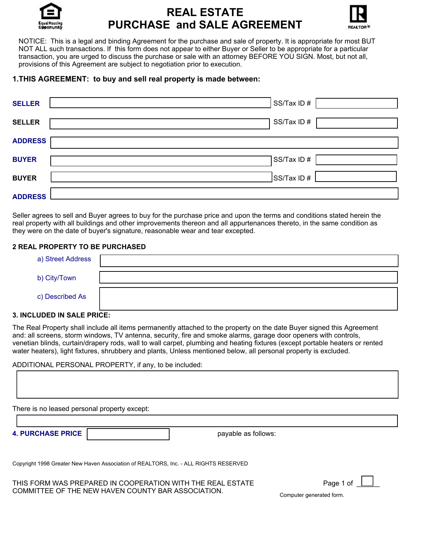

# **REAL ESTATE PURCHASE and SALE AGREEMENT**



NOTICE: This is a legal and binding Agreement for the purchase and sale of property. It is appropriate for most BUT NOT ALL such transactions. If this form does not appear to either Buyer or Seller to be appropriate for a particular transaction, you are urged to discuss the purchase or sale with an attorney BEFORE YOU SIGN. Most, but not all, provisions of this Agreement are subject to negotiation prior to execution.

# **1.THIS AGREEMENT: to buy and sell real property is made between:**

| <b>SELLER</b>  | SS/Tax ID#  |
|----------------|-------------|
| <b>SELLER</b>  | SS/Tax ID#  |
| <b>ADDRESS</b> |             |
| <b>BUYER</b>   | SS/Tax ID#  |
| <b>BUYER</b>   | SS/Tax ID # |
| <b>ADDRESS</b> |             |

Seller agrees to sell and Buyer agrees to buy for the purchase price and upon the terms and conditions stated herein the real property with all buildings and other improvements thereon and all appurtenances thereto, in the same condition as they were on the date of buyer's signature, reasonable wear and tear excepted.

# **2 REAL PROPERTY TO BE PURCHASED**

| a) Street Address |  |
|-------------------|--|
| b) City/Town      |  |
| c) Described As   |  |

# **3. INCLUDED IN SALE PRICE:**

The Real Property shall include all items permanently attached to the property on the date Buyer signed this Agreement and: all screens, storm windows, TV antenna, security, fire and smoke alarms, garage door openers with controls, venetian blinds, curtain/drapery rods, wall to wall carpet, plumbing and heating fixtures (except portable heaters or rented water heaters), light fixtures, shrubbery and plants, Unless mentioned below, all personal property is excluded.

ADDITIONAL PERSONAL PROPERTY, if any, to be included:

There is no leased personal property except:

**4. PURCHASE PRICE payable as follows:** 

Copyright 1998 Greater New Haven Association of REALTORS, Inc. - ALL RIGHTS RESERVED

THIS FORM WAS PREPARED IN COOPERATION WITH THE REAL ESTATE COMMITTEE OF THE NEW HAVEN COUNTY BAR ASSOCIATION.

| Page 1 of |  |  |
|-----------|--|--|
|           |  |  |

Computer generated form.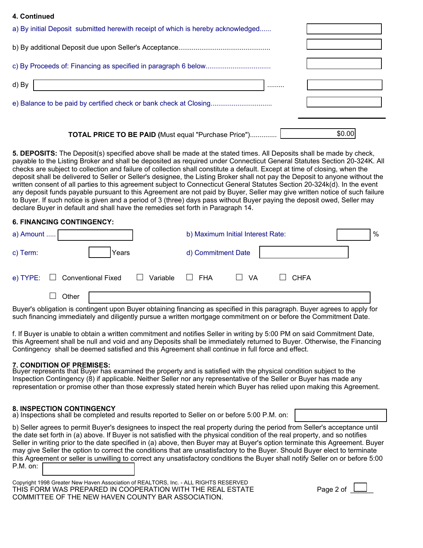#### **4. Continued**

| a) By initial Deposit submitted herewith receipt of which is hereby acknowledged |   |        |
|----------------------------------------------------------------------------------|---|--------|
|                                                                                  |   |        |
|                                                                                  |   |        |
| d) By                                                                            | . |        |
|                                                                                  |   |        |
| <b>TOTAL PRICE TO BE PAID (Must equal "Purchase Price")</b>                      |   | \$0.00 |

**5. DEPOSITS:** The Deposit(s) specified above shall be made at the stated times. All Deposits shall be made by check, payable to the Listing Broker and shall be deposited as required under Connecticut General Statutes Section 20-324K. All checks are subject to collection and failure of collection shall constitute a default. Except at time of closing, when the deposit shall be delivered to Seller or Seller's designee, the Listing Broker shall not pay the Deposit to anyone without the written consent of all parties to this agreement subject to Connecticut General Statutes Section 20-324k(d). In the event any deposit funds payable pursuant to this Agreement are not paid by Buyer, Seller may give written notice of such failure to Buyer. If such notice is given and a period of 3 (three) days pass without Buyer paying the deposit owed, Seller may declare Buyer in default and shall have the remedies set forth in Paragraph 14.

#### **6. FINANCING CONTINGENCY:**

| a) Amount |       |                                    |                                 | b) Maximum Initial Interest Rate: |      |                       | % |
|-----------|-------|------------------------------------|---------------------------------|-----------------------------------|------|-----------------------|---|
| c) Term:  |       | Years                              |                                 | d) Commitment Date                |      |                       |   |
|           |       | e) TYPE: $\Box$ Conventional Fixed | Variable $\square$ FHA<br>70 L. |                                   | □ VA | <b>CHFA</b><br>$\Box$ |   |
|           | Other |                                    |                                 |                                   |      |                       |   |

Buyer's obligation is contingent upon Buyer obtaining financing as specified in this paragraph. Buyer agrees to apply for such financing immediately and diligently pursue a written mortgage commitment on or before the Commitment Date.

f. If Buyer is unable to obtain a written commitment and notifies Seller in writing by 5:00 PM on said Commitment Date, this Agreement shall be null and void and any Deposits shall be immediately returned to Buyer. Otherwise, the Financing Contingency shall be deemed satisfied and this Agreement shall continue in full force and effect.

#### **7. CONDITION OF PREMISES:**

Buyer represents that Buyer has examined the property and is satisfied with the physical condition subject to the Inspection Contingency (8) if applicable. Neither Seller nor any representative of the Seller or Buyer has made any representation or promise other than those expressly stated herein which Buyer has relied upon making this Agreement.

#### **8. INSPECTION CONTINGENCY**

a) Inspections shall be completed and results reported to Seller on or before 5:00 P.M. on:

b) Seller agrees to permit Buyer's designees to inspect the real property during the period from Seller's acceptance until the date set forth in (a) above. If Buyer is not satisfied with the physical condition of the real property, and so notifies Seller in writing prior to the date specified in (a) above, then Buyer may at Buyer's option terminate this Agreement. Buyer may give Seller the option to correct the conditions that are unsatisfactory to the Buyer. Should Buyer elect to terminate this Agreement or seller is unwilling to correct any unsatisfactory conditions the Buyer shall notify Seller on or before 5:00 P.M. on:

Copyright 1998 Greater New Haven Association of REALTORS, Inc. - ALL RIGHTS RESERVED THIS FORM WAS PREPARED IN COOPERATION WITH THE REAL ESTATE COMMITTEE OF THE NEW HAVEN COUNTY BAR ASSOCIATION.

| 10A 7 6<br>-- |  |
|---------------|--|
|---------------|--|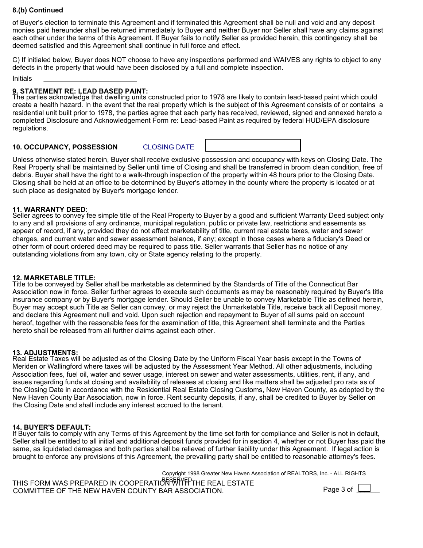# **8.(b) Continued**

of Buyer's election to terminate this Agreement and if terminated this Agreement shall be null and void and any deposit monies paid hereunder shall be returned immediately to Buyer and neither Buyer nor Seller shall have any claims against each other under the terms of this Agreement. If Buyer fails to notify Seller as provided herein, this contingency shall be deemed satisfied and this Agreement shall continue in full force and effect.

C) If initialed below, Buyer does NOT choose to have any inspections performed and WAIVES any rights to object to any defects in the property that would have been disclosed by a full and complete inspection.

Initials

# **9. STATEMENT RE: LEAD BASED PAINT:**

The parties acknowledge that dwelling units constructed prior to 1978 are likely to contain lead-based paint which could create a health hazard. In the event that the real property which is the subject of this Agreement consists of or contains a residential unit built prior to 1978, the parties agree that each party has received, reviewed, signed and annexed hereto a completed Disclosure and Acknowledgement Form re: Lead-based Paint as required by federal HUD/EPA disclosure regulations.

# **10. OCCUPANCY, POSSESSION** CLOSING DATE

Unless otherwise stated herein, Buyer shall receive exclusive possession and occupancy with keys on Closing Date. The Real Property shall be maintained by Seller until time of Closing and shall be transferred in broom clean condition, free of debris. Buyer shall have the right to a walk-through inspection of the property within 48 hours prior to the Closing Date. Closing shall be held at an office to be determined by Buyer's attorney in the county where the property is located or at such place as designated by Buyer's mortgage lender.

# **11. WARRANTY DEED:**

Seller agrees to convey fee simple title of the Real Property to Buyer by a good and sufficient Warranty Deed subject only to any and all provisions of any ordinance, municipal regulation, public or private law, restrictions and easements as appear of record, if any, provided they do not affect marketability of title, current real estate taxes, water and sewer charges, and current water and sewer assessment balance, if any; except in those cases where a fiduciary's Deed or other form of court ordered deed may be required to pass title. Seller warrants that Seller has no notice of any outstanding violations from any town, city or State agency relating to the property.

# **12. MARKETABLE TITLE:**

Title to be conveyed by Seller shall be marketable as determined by the Standards of Title of the Connecticut Bar Association now in force. Seller further agrees to execute such documents as may be reasonably required by Buyer's title insurance company or by Buyer's mortgage lender. Should Seller be unable to convey Marketable Title as defined herein, Buyer may accept such Title as Seller can convey, or may reject the Unmarketable Title, receive back all Deposit money, and declare this Agreement null and void. Upon such rejection and repayment to Buyer of all sums paid on account hereof, together with the reasonable fees for the examination of title, this Agreement shall terminate and the Parties hereto shall be released from all further claims against each other.

#### **13. ADJUSTMENTS:**

Real Estate Taxes will be adjusted as of the Closing Date by the Uniform Fiscal Year basis except in the Towns of Meriden or Wallingford where taxes will be adjusted by the Assessment Year Method. All other adjustments, including Association fees, fuel oil, water and sewer usage, interest on sewer and water assessments, utilities, rent, if any, and issues regarding funds at closing and availability of releases at closing and like matters shall be adjusted pro rata as of the Closing Date in accordance with the Residential Real Estate Closing Customs, New Haven County, as adopted by the New Haven County Bar Association, now in force. Rent security deposits, if any, shall be credited to Buyer by Seller on the Closing Date and shall include any interest accrued to the tenant.

#### **14. BUYER'S DEFAULT:**

If Buyer fails to comply with any Terms of this Agreement by the time set forth for compliance and Seller is not in default, Seller shall be entitled to all initial and additional deposit funds provided for in section 4, whether or not Buyer has paid the same, as liquidated damages and both parties shall be relieved of further liability under this Agreement. If legal action is brought to enforce any provisions of this Agreement, the prevailing party shall be entitled to reasonable attorney's fees.

THIS FORM WAS PREPARED IN COOPERATION WITH REAL ESTATE COMMITTEE OF THE NEW HAVEN COUNTY BAR ASSOCIATION. Copyright 1998 Greater New Haven Association of REALTORS, Inc. - ALL RIGHTS Page 3 of  $\mathsf{L}$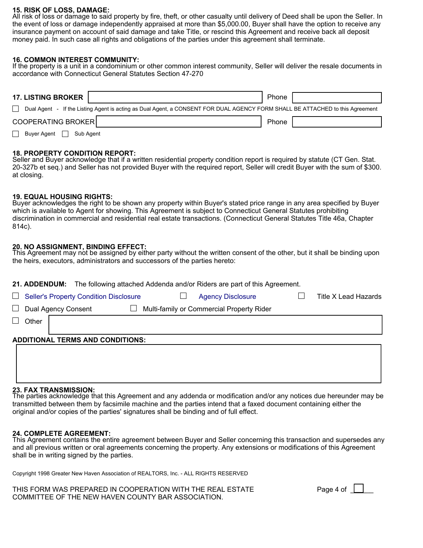#### **15. RISK OF LOSS, DAMAGE:**

All risk of loss or damage to said property by fire, theft, or other casualty until delivery of Deed shall be upon the Seller. In the event of loss or damage independently appraised at more than \$5,000.00, Buyer shall have the option to receive any insurance payment on account of said damage and take Title, or rescind this Agreement and receive back all deposit money paid. In such case all rights and obligations of the parties under this agreement shall terminate.

# **16. COMMON INTEREST COMMUNITY:**

If the property is a unit in a condominium or other common interest community, Seller will deliver the resale documents in accordance with Connecticut General Statutes Section 47-270

| <b>17. LISTING BROKER</b>                                                                                                     | Phone |  |
|-------------------------------------------------------------------------------------------------------------------------------|-------|--|
| Dual Agent - If the Listing Agent is acting as Dual Agent, a CONSENT FOR DUAL AGENCY FORM SHALL BE ATTACHED to this Agreement |       |  |
| COOPERATING BROKER                                                                                                            | Phone |  |
| Buyer Agent<br>Sub Agent                                                                                                      |       |  |

# **18. PROPERTY CONDITION REPORT:**

Seller and Buyer acknowledge that if a written residential property condition report is required by statute (CT Gen. Stat. 20-327b et seq.) and Seller has not provided Buyer with the required report, Seller will credit Buyer with the sum of \$300. at closing.

# **19. EQUAL HOUSING RIGHTS:**

Buyer acknowledges the right to be shown any property within Buyer's stated price range in any area specified by Buyer which is available to Agent for showing. This Agreement is subject to Connecticut General Statutes prohibiting discrimination in commercial and residential real estate transactions. (Connecticut General Statutes Title 46a, Chapter 814c).

# **20. NO ASSIGNMENT, BINDING EFFECT:**

This Agreement may not be assigned by either party without the written consent of the other, but it shall be binding upon the heirs, executors, administrators and successors of the parties hereto:

| The following attached Addenda and/or Riders are part of this Agreement.<br><b>21. ADDENDUM:</b> |  |                      |  |  |  |
|--------------------------------------------------------------------------------------------------|--|----------------------|--|--|--|
| <b>Seller's Property Condition Disclosure</b><br><b>Agency Disclosure</b><br>$\Box$              |  | Title X Lead Hazards |  |  |  |
| Multi-family or Commercial Property Rider<br>Dual Agency Consent<br>$\Box$<br>$\perp$            |  |                      |  |  |  |
| Other                                                                                            |  |                      |  |  |  |
|                                                                                                  |  |                      |  |  |  |
| <b>ADDITIONAL TERMS AND CONDITIONS:</b>                                                          |  |                      |  |  |  |
|                                                                                                  |  |                      |  |  |  |
|                                                                                                  |  |                      |  |  |  |

#### **23. FAX TRANSMISSION:**

The parties acknowledge that this Agreement and any addenda or modification and/or any notices due hereunder may be transmitted between them by facsimile machine and the parties intend that a faxed document containing either the original and/or copies of the parties' signatures shall be binding and of full effect.

#### **24. COMPLETE AGREEMENT:**

This Agreement contains the entire agreement between Buyer and Seller concerning this transaction and supersedes any and all previous written or oral agreements concerning the property. Any extensions or modifications of this Agreement shall be in writing signed by the parties.

Copyright 1998 Greater New Haven Association of REALTORS, Inc. - ALL RIGHTS RESERVED

THIS FORM WAS PREPARED IN COOPERATION WITH THE REAL ESTATE COMMITTEE OF THE NEW HAVEN COUNTY BAR ASSOCIATION.

| Page 4 of |  |  |
|-----------|--|--|
|-----------|--|--|